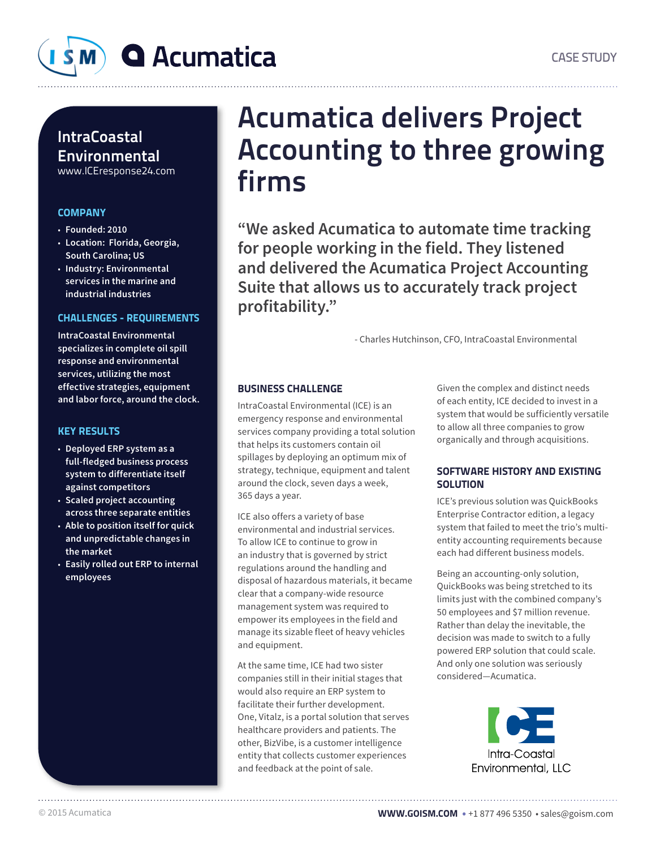

### **IntraCoastal** Environmental www.ICEresponse24.com

### **COMPANY**

- **Founded: 2010**
- **Location: Florida, Georgia, South Carolina; US**
- **Industry: Environmental services in the marine and industrial industries**

### CHALLENGES - REQUIREMENTS

**IntraCoastal Environmental specializes in complete oil spill response and environmental services, utilizing the most effective strategies, equipment and labor force, around the clock.** 

### KEY RESULTS

- **Deployed ERP system as a full-fledged business process system to differentiate itself against competitors**
- **Scaled project accounting across three separate entities**
- **Able to position itself for quick and unpredictable changes in the market**
- **Easily rolled out ERP to internal employees**

## Acumatica delivers Project Accounting to three growing firms

**"We asked Acumatica to automate time tracking for people working in the field. They listened and delivered the Acumatica Project Accounting Suite that allows us to accurately track project profitability."**

- Charles Hutchinson, CFO, IntraCoastal Environmental

### BUSINESS CHALLENGE

IntraCoastal Environmental (ICE) is an emergency response and environmental services company providing a total solution that helps its customers contain oil spillages by deploying an optimum mix of strategy, technique, equipment and talent around the clock, seven days a week, 365 days a year.

ICE also offers a variety of base environmental and industrial services. To allow ICE to continue to grow in an industry that is governed by strict regulations around the handling and disposal of hazardous materials, it became clear that a company-wide resource management system was required to empower its employees in the field and manage its sizable fleet of heavy vehicles and equipment.

At the same time, ICE had two sister companies still in their initial stages that would also require an ERP system to facilitate their further development. One, Vitalz, is a portal solution that serves healthcare providers and patients. The other, BizVibe, is a customer intelligence entity that collects customer experiences and feedback at the point of sale.

Given the complex and distinct needs of each entity, ICE decided to invest in a system that would be sufficiently versatile to allow all three companies to grow organically and through acquisitions.

### SOFTWARE HISTORY AND EXISTING **SOLUTION**

ICE's previous solution was QuickBooks Enterprise Contractor edition, a legacy system that failed to meet the trio's multientity accounting requirements because each had different business models.

Being an accounting-only solution, QuickBooks was being stretched to its limits just with the combined company's 50 employees and \$7 million revenue. Rather than delay the inevitable, the decision was made to switch to a fully powered ERP solution that could scale. And only one solution was seriously considered—Acumatica.